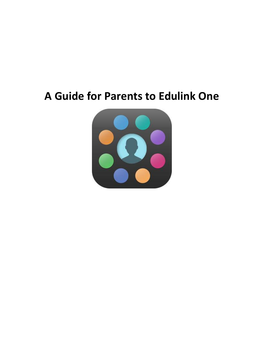# **A Guide for Parents to Edulink One**

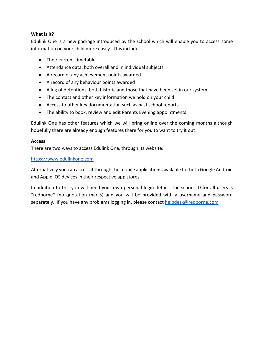#### **What is it?**

Edulink One is a new package introduced by the school which will enable you to access some information on your child more easily. This includes:

- Their current timetable
- Attendance data, both overall and in individual subjects
- A record of any achievement points awarded
- A record of any behaviour points awarded
- A log of detentions, both historic and those that have been set in our system
- The contact and other key information we hold on your child
- Access to other key documentation such as past school reports
- The ability to book, review and edit Parents Evening appointments

Edulink One has other features which we will bring online over the coming months although hopefully there are already enough features there for you to want to try it out!

#### **Access**

There are two ways to access Edulink One, through its website:

#### [https://www.edulinkone.com](https://www.edulinkone.com/)

Alternatively you can access it through the mobile applications available for both Google Android and Apple iOS devices in their respective app stores.

In addition to this you will need your own personal login details, the school ID for all users is "redborne" (no quotation marks) and you will be provided with a username and password separately. If you have any problems logging in, please contact [helpdesk@redborne.com.](mailto:helpdesk@redborne.com)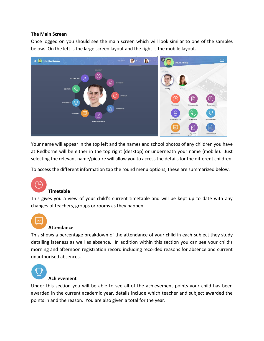#### **The Main Screen**

Once logged on you should see the main screen which will look similar to one of the samples below. On the left is the large screen layout and the right is the mobile layout.



Your name will appear in the top left and the names and school photos of any children you have at Redborne will be either in the top right (desktop) or underneath your name (mobile). Just selecting the relevant name/picture will allow you to access the details for the different children.

To access the different information tap the round menu options, these are summarized below.



This gives you a view of your child's current timetable and will be kept up to date with any changes of teachers, groups or rooms as they happen.



#### **Attendance**

This shows a percentage breakdown of the attendance of your child in each subject they study detailing lateness as well as absence. In addition within this section you can see your child's morning and afternoon registration record including recorded reasons for absence and current unauthorised absences.



#### **Achievement**

Under this section you will be able to see all of the achievement points your child has been awarded in the current academic year, details include which teacher and subject awarded the points in and the reason. You are also given a total for the year.